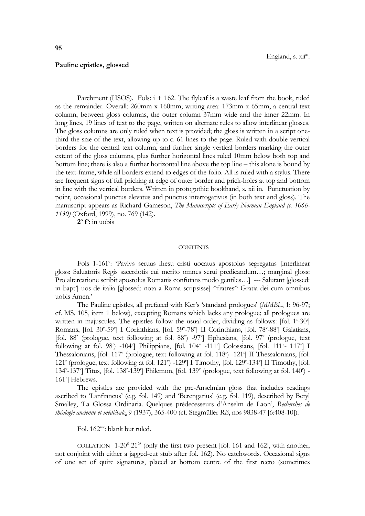## **Pauline epistles, glossed**

Parchment (HSOS). Fols:  $i + 162$ . The flyleaf is a waste leaf from the book, ruled as the remainder. Overall: 260mm x 160mm; writing area: 173mm x 65mm, a central text column, between gloss columns, the outer column 37mm wide and the inner 22mm. In long lines, 19 lines of text to the page, written on alternate rules to allow interlinear glosses. The gloss columns are only ruled when text is provided; the gloss is written in a script onethird the size of the text, allowing up to c. 61 lines to the page. Ruled with double vertical borders for the central text column, and further single vertical borders marking the outer extent of the gloss columns, plus further horizontal lines ruled 10mm below both top and bottom line; there is also a further horizontal line above the top line – this alone is bound by the text-frame, while all borders extend to edges of the folio. All is ruled with a stylus. There are frequent signs of full pricking at edge of outer border and prick-holes at top and bottom in line with the vertical borders. Written in protogothic bookhand, s. xii in. Punctuation by point, occasional punctus elevatus and punctus interrogativus (in both text and gloss). The manuscript appears as Richard Gameson, *The Manuscripts of Early Norman England (c. 1066- 1130)* (Oxford, 1999), no. 769 (142).

**2 o f o** : in uobis

## **CONTENTS**

Fols 1-161": 'Pavlvs seruus ihesu cristi uocatus apostolus segregatus [interlinear gloss: Saluatoris Regis sacerdotis cui merito omnes serui predicandum…; marginal gloss: Pro altercatione scribit apostolus Romanis confutans modo gentiles…] --- Salutant [glossed: in bapt'] uos de italia [glossed: nota a Roma scripsisse] ^fratres^ Gratia dei cum omnibus uobis Amen.'

The Pauline epistles, all prefaced with Ker's 'standard prologues' (*MMBL*, 1: 96-97; cf. MS. 105, item 1 below), excepting Romans which lacks any prologue; all prologues are written in majuscules. The epistles follow the usual order, dividing as follows: [fol. 1<sup>1</sup>-30<sup>°</sup>] Romans, [fol. 30"-59"] I Corinthians, [fol. 59"-78"] II Corinthians, [fol. 78"-88"] Galatians, [fol. 88<sup>r</sup> (prologue, text following at fol. 88<sup>v</sup>) -97<sup>v</sup>] Ephesians, [fol. 97<sup>v</sup> (prologue, text following at fol. 98<sup>r</sup>) -104<sup>r</sup>] Philippians, [fol. 104<sup>v</sup> -111<sup>r</sup>] Colossians, [fol. 111<sup>v</sup>- 117<sup>v</sup>] I Thessalonians, [fol. 117<sup>v</sup> (prologue, text following at fol. 118<sup>r</sup>) -121<sup>r</sup>] II Thessalonians, [fol. 121<sup>r</sup> (prologue, text following at fol. 121<sup>v</sup>) -129<sup>r</sup>] I Timothy, [fol. 129<sup>r</sup>-134<sup>v</sup>] II Timothy, [fol. 134<sup>v</sup>-137<sup>γ</sup>] Titus, [fol. 138<sup>r</sup>-139<sup>r</sup>] Philemon, [fol. 139<sup>v</sup> (prologue, text following at fol. 140<sup>r</sup>) -161<sup>v</sup>] Hebrews.

The epistles are provided with the pre-Anselmian gloss that includes readings ascribed to 'Lanfrancus' (e.g. fol. 149) and 'Berengarius' (e.g. fol. 119), described by Beryl Smalley, 'La Glossa Ordinaria. Quelques prédecesseurs d'Anselm de Laon', *Recherches de théologie ancienne et médiévale*, 9 (1937), 365-400 (cf. Stegmüller *RB*, nos 9838-47 [6:408-10]).

Fol. 162<sup>r-v</sup>: blank but ruled.

COLLATION 1-20<sup>8</sup> 21<sup> $6$ </sup> (only the first two present [fol. 161 and 162], with another, not conjoint with either a jagged-cut stub after fol. 162). No catchwords. Occasional signs of one set of quire signatures, placed at bottom centre of the first recto (sometimes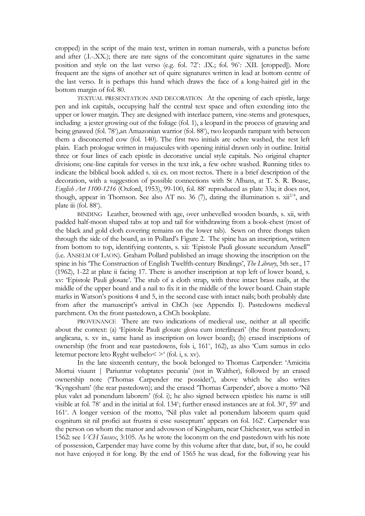cropped) in the script of the main text, written in roman numerals, with a punctus before and after (.I.-.XX.); there are rare signs of the concomitant quire signatures in the same position and style on the last verso (e.g. fol. 72": .IX.; fol. 96": .XII. [cropped]). More frequent are the signs of another set of quire signatures written in lead at bottom centre of the last verso. It is perhaps this hand which draws the face of a long-haired girl in the bottom margin of fol. 80.

TEXTUAL PRESENTATION AND DECORATION At the opening of each epistle, large pen and ink capitals, occupying half the central text space and often extending into the upper or lower margin. They are designed with interlace pattern, vine-stems and grotesques, including a jester growing out of the foliage (fol. 1), a leopard in the process of gnawing and being gnawed (fol. 78"),an Amazonian warrior (fol. 88"), two leopards rampant with between them a disconcerted cow (fol. 140). The first two initials are ochre washed, the rest left plain. Each prologue written in majuscules with opening initial drawn only in outline. Initial three or four lines of each epistle in decorative uncial style capitals. No original chapter divisions; one-line capitals for verses in the text ink, a few ochre washed. Running titles to indicate the biblical book added s. xii ex. on most rectos. There is a brief description of the decoration, with a suggestion of possible connections with St Albans, at T. S. R. Boase, English Art 1100-1216 (Oxford, 1953), 99-100, fol. 88<sup>v</sup> reproduced as plate 33a; it does not, though, appear in Thomson. See also AT no. 36 (7), dating the illumination s.  $xii^{2/4}$ , and plate iii (fol. 88°).

BINDING Leather, browned with age, over unbevelled wooden boards, s. xii, with padded half-moon shaped tabs at top and tail for withdrawing from a book-chest (most of the black and gold cloth covering remains on the lower tab). Sewn on three thongs taken through the side of the board, as in Pollard's Figure 2. The spine has an inscription, written from bottom to top, identifying contents, s. xii: 'Epistole Pauli glossate secundum Ansell'' (i.e. ANSELM OF LAON). Graham Pollard published an image showing the inscription on the spine in his 'The Construction of English Twelfth-century Bindings', *The Library*, 5th ser., 17 (1962), 1-22 at plate ii facing 17. There is another inscription at top left of lower board, s. xv: 'Epistole Pauli glosate'. The stub of a cloth strap, with three intact brass nails, at the middle of the upper board and a nail to fix it in the middle of the lower board. Chain staple marks in Watson's positions 4 and 5, in the second case with intact nails; both probably date from after the manuscript's arrival in ChCh (see Appendix I). Pastedowns medieval parchment. On the front pastedown, a ChCh bookplate.

PROVENANCE There are two indications of medieval use, neither at all specific about the context: (a) 'Epistole Pauli glosate glosa cum interlineari' (the front pastedown; anglicana, s. xv in., same hand as inscription on lower board); (b) erased inscriptions of ownership (the front and rear pastedowns, fols i, 161<sup>v</sup>, 162), as also 'Cum sumus in celo letemur pectore leto Ryght welbelo< >' (fol. i, s. xv).

In the late sixteenth century, the book belonged to Thomas Carpender: 'Amicitia Mortui viuunt | Pariuntur voluptates pecunia' (not in Walther), followed by an erased ownership note ('Thomas Carpender me possidet'), above which he also writes 'Kyngesham' (the rear pastedown); and the erased 'Thomas Carpender', above a motto 'Nil plus valet ad ponendum laborem' (fol. i); he also signed between epistles: his name is still visible at fol. 78<sup>v</sup> and in the initial at fol. 134<sup>v</sup>; further erased instances are at fol. 30<sup>v</sup>, 59<sup>v</sup> and 161<sup>v</sup>. A longer version of the motto, 'Nil plus valet ad ponendum laborem quam quid cognitum sit nil profici aut frustra si esse susceptum' appears on fol. 162<sup>v</sup>. Carpender was the person on whom the manor and advowson of Kingsham, near Chichester, was settled in 1562: see *VCH Sussex*, 3:105. As he wrote the loconym on the end pastedown with his note of possession, Carpender may have come by this volume after that date, but, if so, he could not have enjoyed it for long. By the end of 1565 he was dead, for the following year his